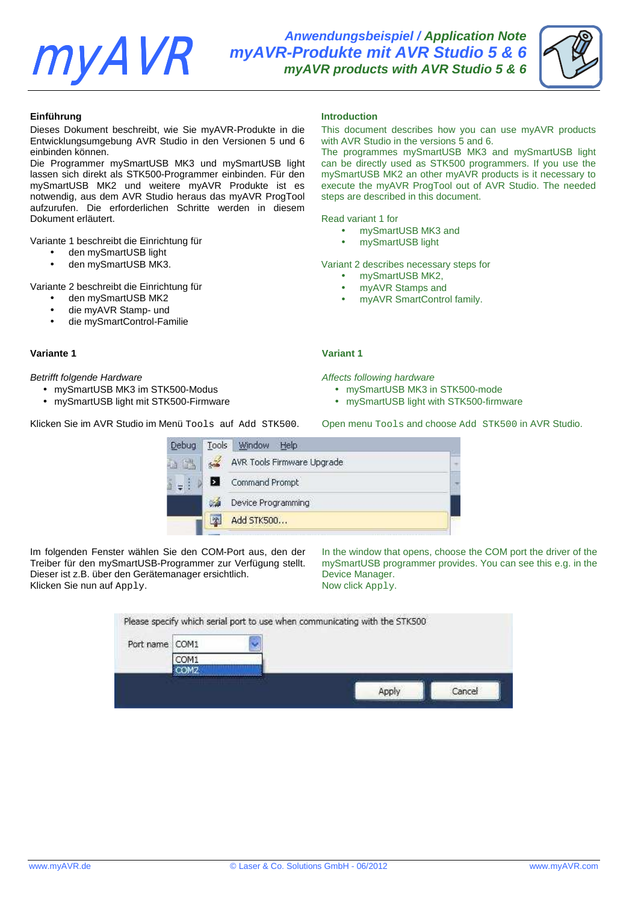# **myAVR**

**Anwendungsbeispiel / Application Note myAVR-Produkte mit AVR Studio 5 & 6 myAVR products with AVR Studio 5 & 6**

|--|

# **Einführung**

Dieses Dokument beschreibt, wie Sie myAVR-Produkte in die Entwicklungsumgebung AVR Studio in den Versionen 5 und 6 einbinden können.

Die Programmer mySmartUSB MK3 und mySmartUSB light lassen sich direkt als STK500-Programmer einbinden. Für den mySmartUSB MK2 und weitere myAVR Produkte ist es notwendig, aus dem AVR Studio heraus das myAVR ProgTool aufzurufen. Die erforderlichen Schritte werden in diesem Dokument erläutert.

Variante 1 beschreibt die Einrichtung für

- den mySmartUSB light
- den mySmartUSB MK3.

Variante 2 beschreibt die Einrichtung für

- den mySmartUSB MK2
- die myAVR Stamp- und
- die mySmartControl-Familie

# **Variante 1** Variant 1 **Variant 1**

## Betrifft folgende Hardware **Affects** following hardware Affects following hardware

- mySmartUSB MK3 im STK500-Modus
- mySmartUSB light mit STK500-Firmware

Klicken Sie im AVR Studio im Menü Tools auf Add STK500. Open menu Tools and choose Add STK500 in AVR Studio.

|  | <b>Introduction</b> |
|--|---------------------|
|  |                     |

This document describes how you can use myAVR products with AVR Studio in the versions 5 and 6.

The programmes mySmartUSB MK3 and mySmartUSB light can be directly used as STK500 programmers. If you use the mySmartUSB MK2 an other myAVR products is it necessary to execute the myAVR ProgTool out of AVR Studio. The needed steps are described in this document.

Read variant 1 for

- mySmartUSB MK3 and
- mySmartUSB light

Variant 2 describes necessary steps for

- mySmartUSB MK2,
- myAVR Stamps and
- myAVR SmartControl family.

- mySmartUSB MK3 in STK500-mode
- mySmartUSB light with STK500-firmware

**Debug** Tools Window Help  $6 - 6$ AVR Tools Firmware Upgrade 白路 Ы Command Prompt ٠÷ Device Programming  $\sim$   $\lambda$ Add STK500... 欧

Im folgenden Fenster wählen Sie den COM-Port aus, den der Treiber für den mySmartUSB-Programmer zur Verfügung stellt. Dieser ist z.B. über den Gerätemanager ersichtlich. Klicken Sie nun auf Apply.

In the window that opens, choose the COM port the driver of the mySmartUSB programmer provides. You can see this e.g. in the Device Manager. Now click Apply.

| Port name COM1 |                                                                                  |  |  |
|----------------|----------------------------------------------------------------------------------|--|--|
|                | COM1                                                                             |  |  |
|                | COM <sub>2</sub><br>The company of the state and the company of the state of the |  |  |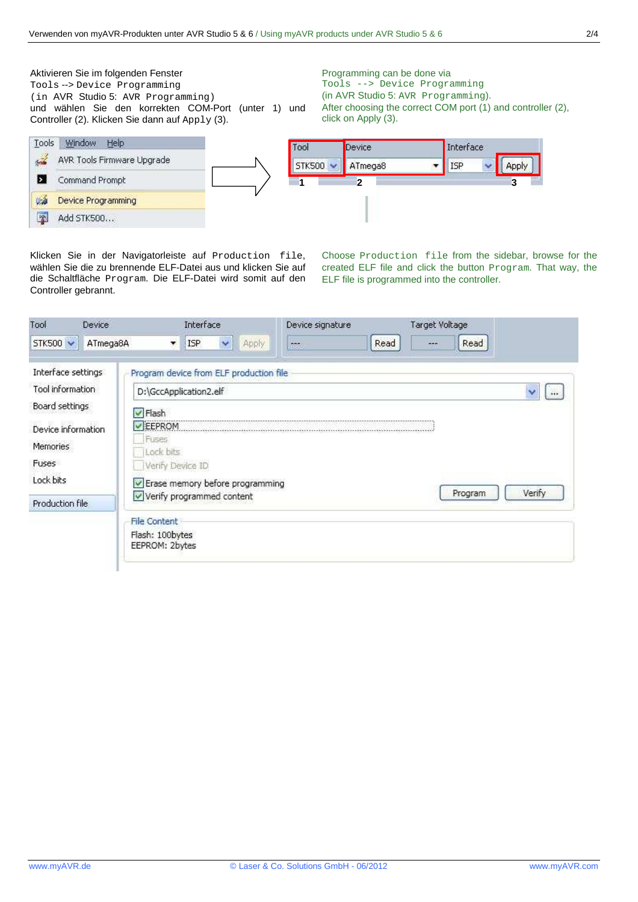Aktivieren Sie im folgenden Fenster Programming can be done via Tools --> Device Programming Tools --> Device Programming (in AVR Studio 5: AVR Programming) (in AVR Studio 5: AVR Programming). After choosing the correct COM port (1) and controller (2), und wählen Sie den korrekten COM-Port (unter 1) und Controller (2). Klicken Sie dann auf Apply (3). click on Apply (3). Tools Window Help

 $\frac{d}{dx}$ 

Е

**Code** 

 $\infty$ 

AVR Tools Firmware Upgrade

Command Prompt

Add STK500...

Device Programming

| Tool          | Device       | Interface |   |
|---------------|--------------|-----------|---|
| <b>STK500</b> | ATmega8      | ISP       |   |
|               | $\mathbf{2}$ |           | 3 |

Klicken Sie in der Navigatorleiste auf Production file, wählen Sie die zu brennende ELF-Datei aus und klicken Sie auf die Schaltfläche Program. Die ELF-Datei wird somit auf den Controller gebrannt.

Choose Production file from the sidebar, browse for the created ELF file and click the button Program. That way, the ELF file is programmed into the controller.

| Tool<br>Device                        | Interface                                                | Device signature | Target Voltage       |        |  |
|---------------------------------------|----------------------------------------------------------|------------------|----------------------|--------|--|
| STK500 V<br>ATmega8A                  | Apply<br><b>ISP</b><br>$\checkmark$<br>▼                 | <b>DOM:</b>      | Read<br>Read<br>an a |        |  |
| Interface settings                    | Program device from ELF production file                  |                  |                      |        |  |
| Tool information                      | D:\GccApplication2.elf                                   |                  |                      |        |  |
| Board settings                        | V Flash                                                  |                  |                      |        |  |
| Device information<br><b>Memories</b> | EEPROM<br>Fuses<br>Lock bits                             |                  |                      |        |  |
| Fuses                                 | Verify Device ID                                         |                  |                      |        |  |
| Lock bits                             | Erase memory before programming                          |                  | Program              | Verify |  |
| Production file                       | Verify programmed content                                |                  |                      |        |  |
|                                       | <b>File Content</b><br>Flash: 100bytes<br>EEPROM: 2bytes |                  |                      |        |  |
|                                       |                                                          |                  |                      |        |  |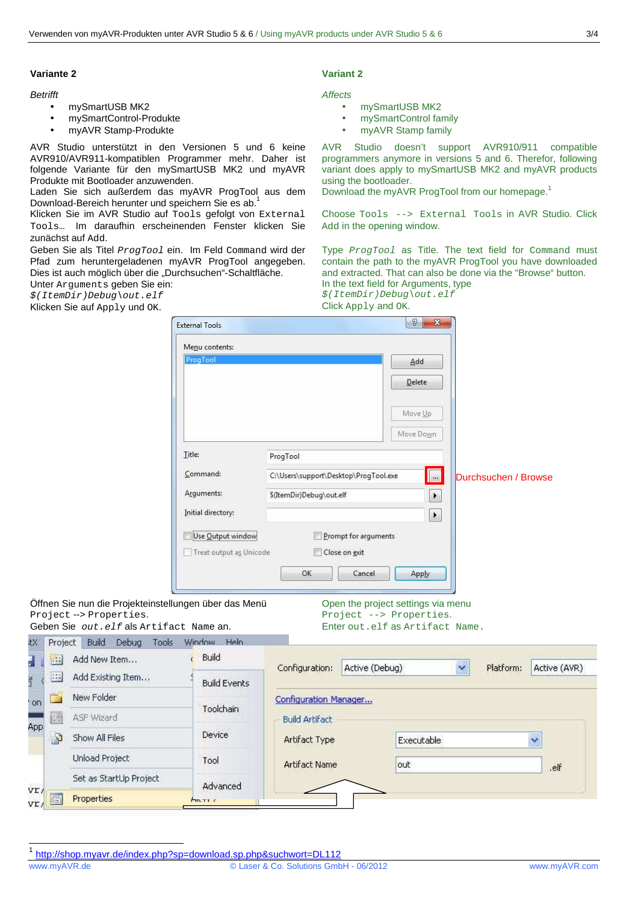### **Variante 2** Variant 2 **Variant 2**

- mySmartUSB MK2
- mySmartControl-Produkte
- myAVR Stamp-Produkte

AVR Studio unterstützt in den Versionen 5 und 6 keine AVR910/AVR911-kompatiblen Programmer mehr. Daher ist folgende Variante für den mySmartUSB MK2 und myAVR Produkte mit Bootloader anzuwenden.

Laden Sie sich außerdem das myAVR ProgTool aus dem Download-Bereich herunter und speichern Sie es ab.<sup>1</sup>

Klicken Sie im AVR Studio auf Tools gefolgt von External Tools… Im daraufhin erscheinenden Fenster klicken Sie zunächst auf Add.

Geben Sie als Titel *ProgTool* ein. Im Feld Command wird der Pfad zum heruntergeladenen myAVR ProgTool angegeben. Dies ist auch möglich über die "Durchsuchen"-Schaltfläche.

Unter Arguments geben Sie ein: \$(ItemDir)Debug\out.elf

Klicken Sie auf Apply und OK.

### **Betrifft** Affects

- mySmartUSB MK2
- mySmartControl family
- myAVR Stamp family

AVR Studio doesn't support AVR910/911 compatible programmers anymore in versions 5 and 6. Therefor, following variant does apply to mySmartUSB MK2 and myAVR products using the bootloader.

Download the myAVR ProgTool from our homepage.<sup>1</sup>

Choose Tools --> External Tools in AVR Studio. Click Add in the opening window.

Type ProgTool as Title. The text field for Command must contain the path to the myAVR ProgTool you have downloaded and extracted. That can also be done via the "Browse" button. In the text field for Arguments, type

\$(ItemDir)Debug\out.elf Click Apply and OK.

 $\begin{array}{|c|c|c|}\hline 2 & \mathbf{x} \\\hline \end{array}$ **External Tools** Menu contents: ProgTog Add Delete Move Up Move Down Title: ProgTool Command: C:\Users\support\Desktop\ProgTool.exe  $\overline{\phantom{a}}$ Durchsuchen / Browse Arguments: S(ItemDir)Debug\out.elf  $\vert \cdot \vert$ Initial directory:  $\lceil \cdot \rceil$ Use Output window Prompt for arguments Treat output as Unicode Close on exit  $\cap$ K Cancel Apply Öffnen Sie nun die Projekteinstellungen über das Menü Open the project settings via menu Project --> Properties. Project --> Properties. Geben Sie out.elf als Artifact Name an. Enter out.elf as Artifact Name. Window Heln Project Build Debug Tools Build Add New Item... Configuration: Active (Debug)  $\ddot{\phantom{1}}$ Platform: Active (AVR) Add Existing Item... **Build Events** Configuration Manager... Toolchain **Build Artifact** 

1 http://shop.myavr.de/index.php?sp=download.sp.php&suchwort=DL112

Device

Advanced

Tool

j

ýr

tX.

Ę

 $\frac{1}{2}$ 

33

m or

Ée.

<u>د ا</u>

E vr.

New Folder

ASF Wizard

Show All Files

**Unload Project** 

Properties

Set as StartUp Project

Artifact Type

Artifact Name

Executable

out

.elf